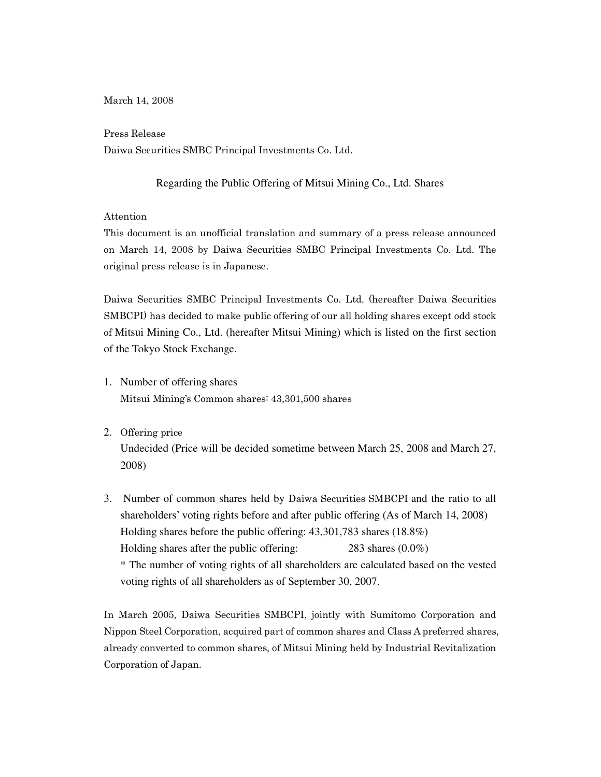March 14, 2008

Press Release

Daiwa Securities SMBC Principal Investments Co. Ltd.

## Regarding the Public Offering of Mitsui Mining Co., Ltd. Shares

## Attention

This document is an unofficial translation and summary of a press release announced on March 14, 2008 by Daiwa Securities SMBC Principal Investments Co. Ltd. The original press release is in Japanese.

Daiwa Securities SMBC Principal Investments Co. Ltd. (hereafter Daiwa Securities SMBCPI) has decided to make public offering of our all holding shares except odd stock of Mitsui Mining Co., Ltd. (hereafter Mitsui Mining) which is listed on the first section of the Tokyo Stock Exchange.

- 1. Number of offering shares Mitsui Mining's Common shares: 43,301,500 shares
- 2. Offering price

Undecided (Price will be decided sometime between March 25, 2008 and March 27, 2008)

3. Number of common shares held by Daiwa Securities SMBCPI and the ratio to all shareholders' voting rights before and after public offering (As of March 14, 2008) Holding shares before the public offering: 43,301,783 shares (18.8%) Holding shares after the public offering: 283 shares (0.0%) \* The number of voting rights of all shareholders are calculated based on the vested voting rights of all shareholders as of September 30, 2007.

In March 2005, Daiwa Securities SMBCPI, jointly with Sumitomo Corporation and Nippon Steel Corporation, acquired part of common shares and Class A preferred shares, already converted to common shares, of Mitsui Mining held by Industrial Revitalization Corporation of Japan.